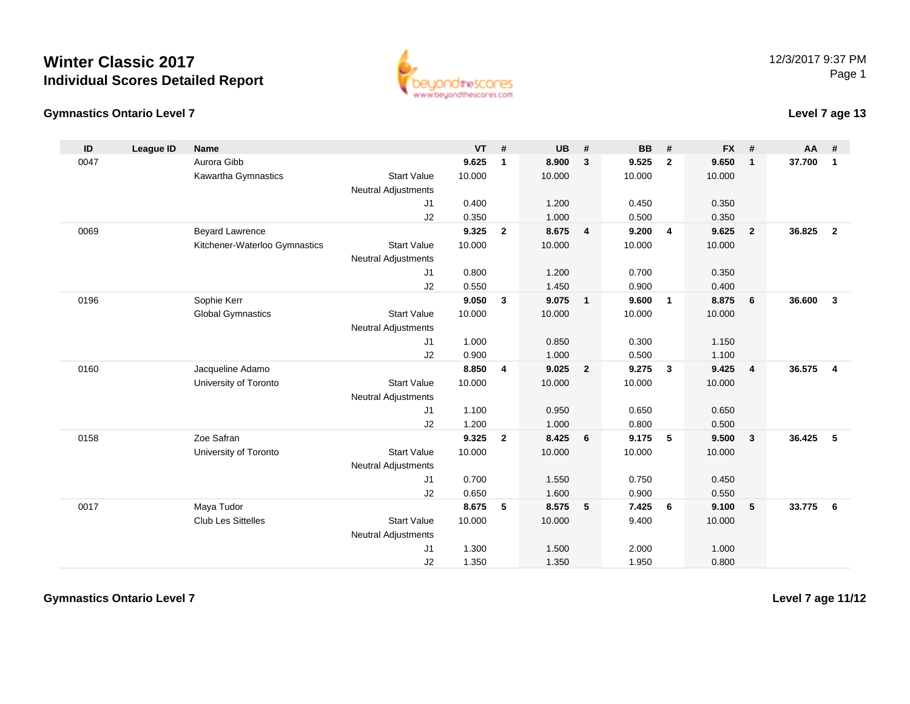



#### **Level 7 age 13**

| ID   | League ID | <b>Name</b>                   |                            | $VT$ # |                | <b>UB</b> | #              | <b>BB</b> | #              | <b>FX</b> | #              | <b>AA</b> | #                       |
|------|-----------|-------------------------------|----------------------------|--------|----------------|-----------|----------------|-----------|----------------|-----------|----------------|-----------|-------------------------|
| 0047 |           | Aurora Gibb                   |                            | 9.625  | $\mathbf{1}$   | 8.900     | $\mathbf{3}$   | 9.525     | $\overline{2}$ | 9.650     | $\mathbf{1}$   | 37.700    | $\mathbf{1}$            |
|      |           | Kawartha Gymnastics           | <b>Start Value</b>         | 10.000 |                | 10.000    |                | 10.000    |                | 10.000    |                |           |                         |
|      |           |                               | <b>Neutral Adjustments</b> |        |                |           |                |           |                |           |                |           |                         |
|      |           |                               | J1                         | 0.400  |                | 1.200     |                | 0.450     |                | 0.350     |                |           |                         |
|      |           |                               | J2                         | 0.350  |                | 1.000     |                | 0.500     |                | 0.350     |                |           |                         |
| 0069 |           | <b>Beyard Lawrence</b>        |                            | 9.325  | $\overline{2}$ | 8.675     | $\overline{4}$ | 9.200     | $\overline{4}$ | 9.625     | $\overline{2}$ | 36.825    | $\overline{2}$          |
|      |           | Kitchener-Waterloo Gymnastics | <b>Start Value</b>         | 10.000 |                | 10.000    |                | 10.000    |                | 10.000    |                |           |                         |
|      |           |                               | <b>Neutral Adjustments</b> |        |                |           |                |           |                |           |                |           |                         |
|      |           |                               | J1                         | 0.800  |                | 1.200     |                | 0.700     |                | 0.350     |                |           |                         |
|      |           |                               | J2                         | 0.550  |                | 1.450     |                | 0.900     |                | 0.400     |                |           |                         |
| 0196 |           | Sophie Kerr                   |                            | 9.050  | 3              | 9.075     | $\mathbf{1}$   | 9.600     | $\overline{1}$ | 8.875     | 6              | 36,600    | $\mathbf{3}$            |
|      |           | <b>Global Gymnastics</b>      | <b>Start Value</b>         | 10.000 |                | 10.000    |                | 10.000    |                | 10.000    |                |           |                         |
|      |           |                               | <b>Neutral Adjustments</b> |        |                |           |                |           |                |           |                |           |                         |
|      |           |                               | J1                         | 1.000  |                | 0.850     |                | 0.300     |                | 1.150     |                |           |                         |
|      |           |                               | J2                         | 0.900  |                | 1.000     |                | 0.500     |                | 1.100     |                |           |                         |
| 0160 |           | Jacqueline Adamo              |                            | 8.850  | 4              | 9.025     | $\mathbf{2}$   | 9.275     | $\mathbf{3}$   | 9.425     | $\overline{4}$ | 36.575    | $\overline{\mathbf{4}}$ |
|      |           | University of Toronto         | <b>Start Value</b>         | 10.000 |                | 10.000    |                | 10.000    |                | 10.000    |                |           |                         |
|      |           |                               | <b>Neutral Adjustments</b> |        |                |           |                |           |                |           |                |           |                         |
|      |           |                               | J1                         | 1.100  |                | 0.950     |                | 0.650     |                | 0.650     |                |           |                         |
|      |           |                               | J2                         | 1.200  |                | 1.000     |                | 0.800     |                | 0.500     |                |           |                         |
| 0158 |           | Zoe Safran                    |                            | 9.325  | $\overline{2}$ | 8.425     | 6              | 9.175     | 5              | 9.500     | $\mathbf{3}$   | 36.425    | -5                      |
|      |           | University of Toronto         | <b>Start Value</b>         | 10.000 |                | 10.000    |                | 10.000    |                | 10.000    |                |           |                         |
|      |           |                               | <b>Neutral Adjustments</b> |        |                |           |                |           |                |           |                |           |                         |
|      |           |                               | J1                         | 0.700  |                | 1.550     |                | 0.750     |                | 0.450     |                |           |                         |
|      |           |                               | J2                         | 0.650  |                | 1.600     |                | 0.900     |                | 0.550     |                |           |                         |
| 0017 |           | Maya Tudor                    |                            | 8.675  | 5              | 8.575     | 5              | 7.425     | 6              | 9.100     | 5              | 33.775    | 6                       |
|      |           | <b>Club Les Sittelles</b>     | <b>Start Value</b>         | 10.000 |                | 10.000    |                | 9.400     |                | 10.000    |                |           |                         |
|      |           |                               | <b>Neutral Adjustments</b> |        |                |           |                |           |                |           |                |           |                         |
|      |           |                               | J1                         | 1.300  |                | 1.500     |                | 2.000     |                | 1.000     |                |           |                         |
|      |           |                               | J2                         | 1.350  |                | 1.350     |                | 1.950     |                | 0.800     |                |           |                         |

**Gymnastics Ontario Level 7**

**Level 7 age 11/12**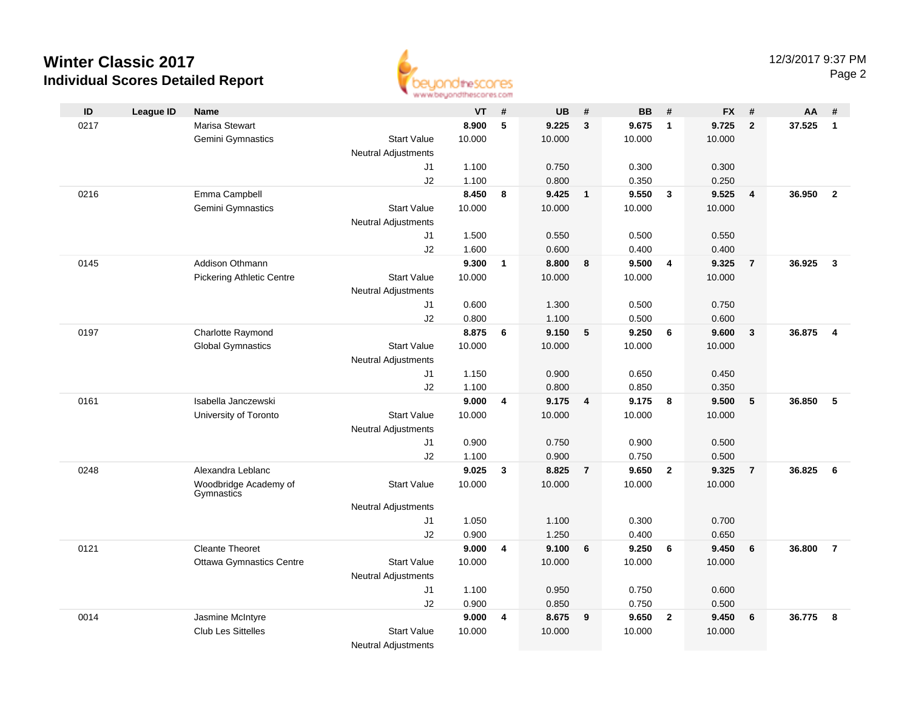

| ID   | <b>League ID</b> | <b>Name</b>                         |                            | <b>VT</b> | #            | <b>UB</b> | #              | <b>BB</b> | #              | <b>FX</b> | #                       | AA     | #              |
|------|------------------|-------------------------------------|----------------------------|-----------|--------------|-----------|----------------|-----------|----------------|-----------|-------------------------|--------|----------------|
| 0217 |                  | <b>Marisa Stewart</b>               |                            | 8.900     | 5            | 9.225     | 3              | 9.675     | $\overline{1}$ | 9.725     | $\overline{2}$          | 37.525 | $\mathbf{1}$   |
|      |                  | Gemini Gymnastics                   | <b>Start Value</b>         | 10.000    |              | 10.000    |                | 10.000    |                | 10.000    |                         |        |                |
|      |                  |                                     | <b>Neutral Adjustments</b> |           |              |           |                |           |                |           |                         |        |                |
|      |                  |                                     | J1                         | 1.100     |              | 0.750     |                | 0.300     |                | 0.300     |                         |        |                |
|      |                  |                                     | J2                         | 1.100     |              | 0.800     |                | 0.350     |                | 0.250     |                         |        |                |
| 0216 |                  | Emma Campbell                       |                            | 8.450     | 8            | 9.425     | $\mathbf{1}$   | 9.550     | $\mathbf{3}$   | 9.525     | $\overline{4}$          | 36.950 | $\overline{2}$ |
|      |                  | Gemini Gymnastics                   | <b>Start Value</b>         | 10.000    |              | 10.000    |                | 10.000    |                | 10.000    |                         |        |                |
|      |                  |                                     | <b>Neutral Adjustments</b> |           |              |           |                |           |                |           |                         |        |                |
|      |                  |                                     | J1                         | 1.500     |              | 0.550     |                | 0.500     |                | 0.550     |                         |        |                |
|      |                  |                                     | J2                         | 1.600     |              | 0.600     |                | 0.400     |                | 0.400     |                         |        |                |
| 0145 |                  | Addison Othmann                     |                            | 9.300     | $\mathbf{1}$ | 8.800     | 8              | 9.500     | 4              | 9.325     | $\overline{7}$          | 36.925 | $\overline{3}$ |
|      |                  | <b>Pickering Athletic Centre</b>    | <b>Start Value</b>         | 10.000    |              | 10.000    |                | 10.000    |                | 10.000    |                         |        |                |
|      |                  |                                     | <b>Neutral Adjustments</b> |           |              |           |                |           |                |           |                         |        |                |
|      |                  |                                     | J1                         | 0.600     |              | 1.300     |                | 0.500     |                | 0.750     |                         |        |                |
|      |                  |                                     | J2                         | 0.800     |              | 1.100     |                | 0.500     |                | 0.600     |                         |        |                |
| 0197 |                  | Charlotte Raymond                   |                            | 8.875     | 6            | 9.150     | 5              | 9.250     | 6              | 9.600     | $\overline{\mathbf{3}}$ | 36.875 | $\overline{4}$ |
|      |                  | <b>Global Gymnastics</b>            | <b>Start Value</b>         | 10.000    |              | 10.000    |                | 10.000    |                | 10.000    |                         |        |                |
|      |                  |                                     | <b>Neutral Adjustments</b> |           |              |           |                |           |                |           |                         |        |                |
|      |                  |                                     | J1                         | 1.150     |              | 0.900     |                | 0.650     |                | 0.450     |                         |        |                |
|      |                  |                                     | J2                         | 1.100     |              | 0.800     |                | 0.850     |                | 0.350     |                         |        |                |
| 0161 |                  | Isabella Janczewski                 |                            | 9.000     | 4            | 9.175     | 4              | 9.175     | 8              | 9.500     | 5                       | 36.850 | 5              |
|      |                  | University of Toronto               | <b>Start Value</b>         | 10.000    |              | 10.000    |                | 10.000    |                | 10.000    |                         |        |                |
|      |                  |                                     | <b>Neutral Adjustments</b> |           |              |           |                |           |                |           |                         |        |                |
|      |                  |                                     | J1                         | 0.900     |              | 0.750     |                | 0.900     |                | 0.500     |                         |        |                |
|      |                  |                                     | J2                         | 1.100     |              | 0.900     |                | 0.750     |                | 0.500     |                         |        |                |
| 0248 |                  | Alexandra Leblanc                   |                            | 9.025     | 3            | 8.825     | $\overline{7}$ | 9.650     | $\overline{2}$ | 9.325     | $\overline{7}$          | 36.825 | 6              |
|      |                  | Woodbridge Academy of<br>Gymnastics | <b>Start Value</b>         | 10.000    |              | 10.000    |                | 10.000    |                | 10.000    |                         |        |                |
|      |                  |                                     | <b>Neutral Adjustments</b> |           |              |           |                |           |                |           |                         |        |                |
|      |                  |                                     | J1                         | 1.050     |              | 1.100     |                | 0.300     |                | 0.700     |                         |        |                |
|      |                  |                                     | J2                         | 0.900     |              | 1.250     |                | 0.400     |                | 0.650     |                         |        |                |
| 0121 |                  | <b>Cleante Theoret</b>              |                            | 9.000     | 4            | 9.100     | 6              | 9.250     | 6              | 9.450     | 6                       | 36.800 | $\overline{7}$ |
|      |                  | <b>Ottawa Gymnastics Centre</b>     | <b>Start Value</b>         | 10.000    |              | 10.000    |                | 10.000    |                | 10.000    |                         |        |                |
|      |                  |                                     | <b>Neutral Adjustments</b> |           |              |           |                |           |                |           |                         |        |                |
|      |                  |                                     | J1                         | 1.100     |              | 0.950     |                | 0.750     |                | 0.600     |                         |        |                |
|      |                  |                                     | J2                         | 0.900     |              | 0.850     |                | 0.750     |                | 0.500     |                         |        |                |
| 0014 |                  | Jasmine McIntyre                    |                            | 9.000     | 4            | 8.675     | 9              | 9.650     | $\mathbf{2}$   | 9.450     | 6                       | 36.775 | 8              |
|      |                  | <b>Club Les Sittelles</b>           | <b>Start Value</b>         | 10.000    |              | 10.000    |                | 10.000    |                | 10.000    |                         |        |                |
|      |                  |                                     | <b>Neutral Adjustments</b> |           |              |           |                |           |                |           |                         |        |                |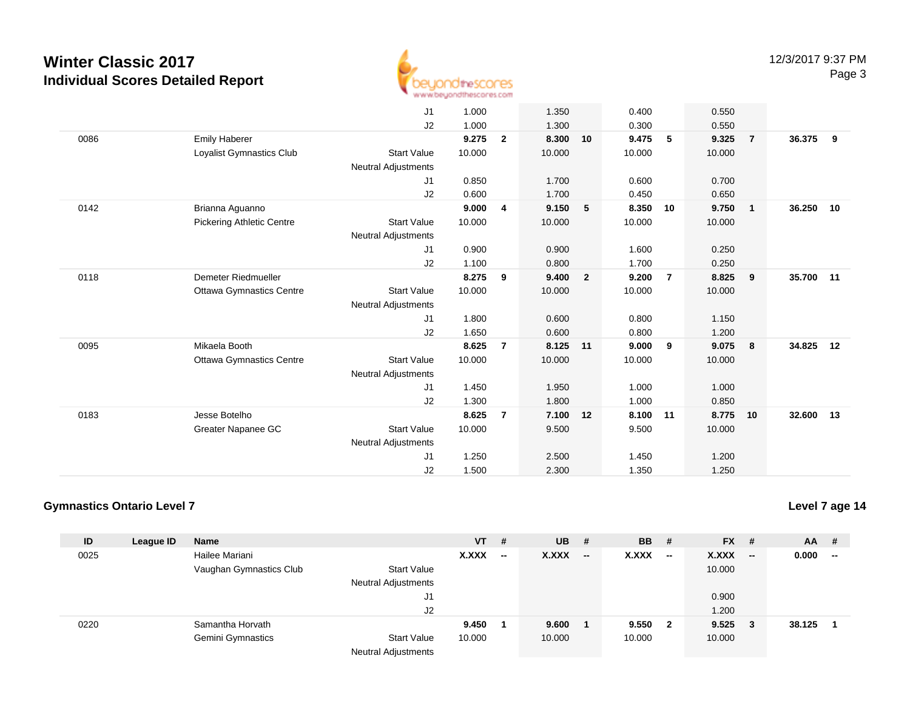

|      |                                  | J1                         | 1.000  |                | 1.350    |                | 0.400  |                | 0.550  |                         |           |    |
|------|----------------------------------|----------------------------|--------|----------------|----------|----------------|--------|----------------|--------|-------------------------|-----------|----|
|      |                                  | J2                         | 1.000  |                | 1.300    |                | 0.300  |                | 0.550  |                         |           |    |
| 0086 | <b>Emily Haberer</b>             |                            | 9.275  | $\overline{2}$ | 8.300    | 10             | 9.475  | 5              | 9.325  | $\overline{7}$          | 36.375    | 9  |
|      | Loyalist Gymnastics Club         | <b>Start Value</b>         | 10.000 |                | 10.000   |                | 10.000 |                | 10.000 |                         |           |    |
|      |                                  | <b>Neutral Adjustments</b> |        |                |          |                |        |                |        |                         |           |    |
|      |                                  | J1                         | 0.850  |                | 1.700    |                | 0.600  |                | 0.700  |                         |           |    |
|      |                                  | J2                         | 0.600  |                | 1.700    |                | 0.450  |                | 0.650  |                         |           |    |
| 0142 | Brianna Aguanno                  |                            | 9.000  | 4              | 9.150    | 5              | 8.350  | 10             | 9.750  | $\overline{\mathbf{1}}$ | 36.250 10 |    |
|      | <b>Pickering Athletic Centre</b> | <b>Start Value</b>         | 10.000 |                | 10.000   |                | 10.000 |                | 10.000 |                         |           |    |
|      |                                  | <b>Neutral Adjustments</b> |        |                |          |                |        |                |        |                         |           |    |
|      |                                  | J1                         | 0.900  |                | 0.900    |                | 1.600  |                | 0.250  |                         |           |    |
|      |                                  | J2                         | 1.100  |                | 0.800    |                | 1.700  |                | 0.250  |                         |           |    |
| 0118 | Demeter Riedmueller              |                            | 8.275  | 9              | 9.400    | $\overline{2}$ | 9.200  | $\overline{7}$ | 8.825  | 9                       | 35.700    | 11 |
|      | <b>Ottawa Gymnastics Centre</b>  | <b>Start Value</b>         | 10.000 |                | 10.000   |                | 10.000 |                | 10.000 |                         |           |    |
|      |                                  | <b>Neutral Adjustments</b> |        |                |          |                |        |                |        |                         |           |    |
|      |                                  | J1                         | 1.800  |                | 0.600    |                | 0.800  |                | 1.150  |                         |           |    |
|      |                                  | J2                         | 1.650  |                | 0.600    |                | 0.800  |                | 1.200  |                         |           |    |
| 0095 | Mikaela Booth                    |                            | 8.625  | $\overline{7}$ | 8.125 11 |                | 9.000  | 9              | 9.075  | 8                       | 34.825    | 12 |
|      | <b>Ottawa Gymnastics Centre</b>  | <b>Start Value</b>         | 10.000 |                | 10.000   |                | 10.000 |                | 10.000 |                         |           |    |
|      |                                  | <b>Neutral Adjustments</b> |        |                |          |                |        |                |        |                         |           |    |
|      |                                  | J1                         | 1.450  |                | 1.950    |                | 1.000  |                | 1.000  |                         |           |    |
|      |                                  | J2                         | 1.300  |                | 1.800    |                | 1.000  |                | 0.850  |                         |           |    |
| 0183 | Jesse Botelho                    |                            | 8.625  | 7              | 7.100    | 12             | 8.100  | 11             | 8.775  | 10                      | 32.600    | 13 |
|      | Greater Napanee GC               | <b>Start Value</b>         | 10.000 |                | 9.500    |                | 9.500  |                | 10.000 |                         |           |    |
|      |                                  | <b>Neutral Adjustments</b> |        |                |          |                |        |                |        |                         |           |    |
|      |                                  | J1                         | 1.250  |                | 2.500    |                | 1.450  |                | 1.200  |                         |           |    |
|      |                                  | J2                         | 1.500  |                | 2.300    |                | 1.350  |                | 1.250  |                         |           |    |

#### **Gymnastics Ontario Level 7**

| ID   | League ID | <b>Name</b>              |                                                  | VT –   | #                        | <b>UB</b>    | - #                      | <b>BB</b> | - #    | <b>FX</b>    | #                        | <b>AA</b> | #                        |
|------|-----------|--------------------------|--------------------------------------------------|--------|--------------------------|--------------|--------------------------|-----------|--------|--------------|--------------------------|-----------|--------------------------|
| 0025 |           | Hailee Mariani           |                                                  | X.XXX  | $\overline{\phantom{a}}$ | <b>X.XXX</b> | $\overline{\phantom{a}}$ | X.XXX     | $\sim$ | <b>X.XXX</b> | $\overline{\phantom{a}}$ | 0.000     | $\overline{\phantom{a}}$ |
|      |           | Vaughan Gymnastics Club  | <b>Start Value</b><br><b>Neutral Adjustments</b> |        |                          |              |                          |           |        | 10.000       |                          |           |                          |
|      |           |                          | J1                                               |        |                          |              |                          |           |        | 0.900        |                          |           |                          |
|      |           |                          | J <sub>2</sub>                                   |        |                          |              |                          |           |        | 1.200        |                          |           |                          |
| 0220 |           | Samantha Horvath         |                                                  | 9.450  |                          | 9.600        |                          | 9.550 2   |        | 9.525        | - 3                      | 38.125    |                          |
|      |           | <b>Gemini Gymnastics</b> | <b>Start Value</b><br><b>Neutral Adjustments</b> | 10.000 |                          | 10.000       |                          | 10.000    |        | 10.000       |                          |           |                          |

**Level 7 age 14**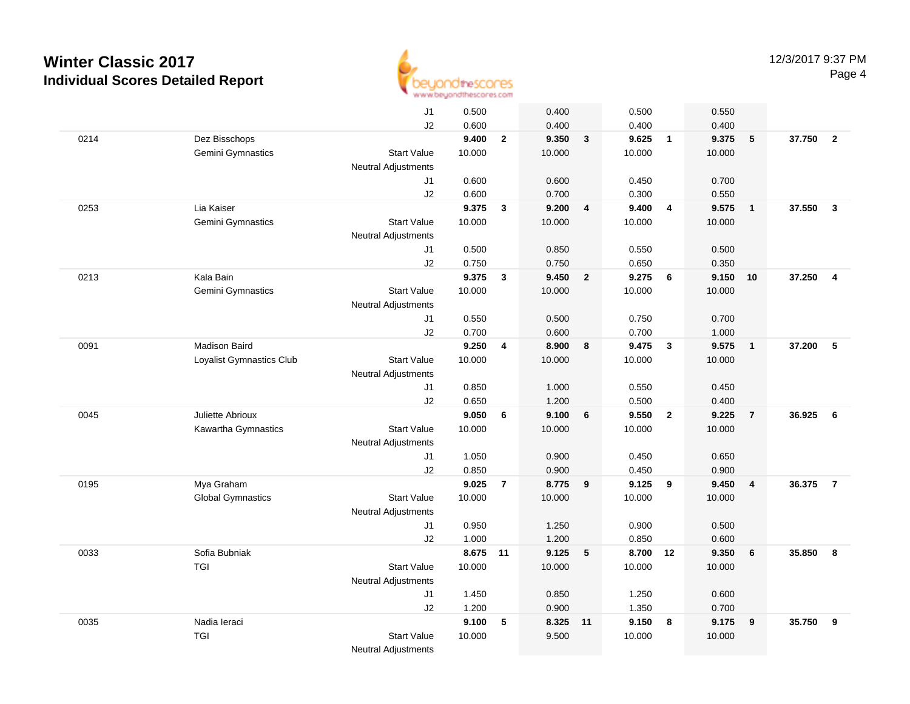

|      |                          | J1                         | 0.500          |                | 0.400          |                         | 0.500          |                         | 0.550          |                         |        |                         |
|------|--------------------------|----------------------------|----------------|----------------|----------------|-------------------------|----------------|-------------------------|----------------|-------------------------|--------|-------------------------|
|      |                          | J2                         | 0.600          |                | 0.400          |                         | 0.400          |                         | 0.400          |                         |        |                         |
| 0214 | Dez Bisschops            |                            | 9.400          | $\mathbf{2}$   | 9.350          | $\mathbf{3}$            | 9.625          | $\overline{1}$          | 9.375          | 5                       | 37.750 | $\overline{\mathbf{2}}$ |
|      | Gemini Gymnastics        | <b>Start Value</b>         | 10.000         |                | 10.000         |                         | 10.000         |                         | 10.000         |                         |        |                         |
|      |                          | <b>Neutral Adjustments</b> |                |                |                |                         |                |                         |                |                         |        |                         |
|      |                          | J1                         | 0.600          |                | 0.600          |                         | 0.450          |                         | 0.700          |                         |        |                         |
|      |                          | J2                         | 0.600          |                | 0.700          |                         | 0.300          |                         | 0.550          |                         |        |                         |
| 0253 | Lia Kaiser               |                            | 9.375          | $\mathbf{3}$   | 9.200          | $\overline{4}$          | 9.400          | $\overline{4}$          | 9.575          | $\overline{1}$          | 37.550 | $\mathbf{3}$            |
|      | Gemini Gymnastics        | <b>Start Value</b>         | 10.000         |                | 10.000         |                         | 10.000         |                         | 10.000         |                         |        |                         |
|      |                          | <b>Neutral Adjustments</b> |                |                |                |                         |                |                         |                |                         |        |                         |
|      |                          | J1                         | 0.500          |                | 0.850          |                         | 0.550          |                         | 0.500          |                         |        |                         |
|      |                          | J2                         | 0.750          |                | 0.750          |                         | 0.650          |                         | 0.350          |                         |        |                         |
| 0213 | Kala Bain                |                            | 9.375          | $\mathbf{3}$   | 9.450          | $\overline{\mathbf{2}}$ | 9.275          | - 6                     | 9.150          | 10                      | 37.250 | $\overline{4}$          |
|      | Gemini Gymnastics        | <b>Start Value</b>         | 10.000         |                | 10.000         |                         | 10.000         |                         | 10.000         |                         |        |                         |
|      |                          | Neutral Adjustments        |                |                |                |                         |                |                         |                |                         |        |                         |
|      |                          | J <sub>1</sub>             | 0.550          |                | 0.500          |                         | 0.750          |                         | 0.700          |                         |        |                         |
| 0091 | <b>Madison Baird</b>     | J2                         | 0.700<br>9.250 | $\overline{4}$ | 0.600<br>8.900 | 8                       | 0.700<br>9.475 | $\overline{\mathbf{3}}$ | 1.000<br>9.575 | $\overline{1}$          | 37.200 | $5\phantom{1}$          |
|      | Loyalist Gymnastics Club | <b>Start Value</b>         | 10.000         |                | 10.000         |                         | 10.000         |                         | 10.000         |                         |        |                         |
|      |                          | Neutral Adjustments        |                |                |                |                         |                |                         |                |                         |        |                         |
|      |                          | J1                         | 0.850          |                | 1.000          |                         | 0.550          |                         | 0.450          |                         |        |                         |
|      |                          | J2                         | 0.650          |                | 1.200          |                         | 0.500          |                         | 0.400          |                         |        |                         |
| 0045 | Juliette Abrioux         |                            | 9.050          | 6              | 9.100          | 6                       | 9.550          | $\overline{2}$          | 9.225          | $\overline{7}$          | 36.925 | 6                       |
|      | Kawartha Gymnastics      | <b>Start Value</b>         | 10.000         |                | 10.000         |                         | 10.000         |                         | 10.000         |                         |        |                         |
|      |                          | <b>Neutral Adjustments</b> |                |                |                |                         |                |                         |                |                         |        |                         |
|      |                          | J1                         | 1.050          |                | 0.900          |                         | 0.450          |                         | 0.650          |                         |        |                         |
|      |                          | J2                         | 0.850          |                | 0.900          |                         | 0.450          |                         | 0.900          |                         |        |                         |
| 0195 | Mya Graham               |                            | 9.025          | $\overline{7}$ | 8.775          | 9                       | 9.125          | 9                       | 9.450          | $\overline{\mathbf{4}}$ | 36.375 | $\overline{7}$          |
|      | <b>Global Gymnastics</b> | <b>Start Value</b>         | 10.000         |                | 10.000         |                         | 10.000         |                         | 10.000         |                         |        |                         |
|      |                          | <b>Neutral Adjustments</b> |                |                |                |                         |                |                         |                |                         |        |                         |
|      |                          | J1                         | 0.950          |                | 1.250          |                         | 0.900          |                         | 0.500          |                         |        |                         |
|      |                          | J2                         | 1.000          |                | 1.200          |                         | 0.850          |                         | 0.600          |                         |        |                         |
| 0033 | Sofia Bubniak            |                            | 8.675 11       |                | 9.125          | $5\phantom{.0}$         | 8.700 12       |                         | 9.350          | 6                       | 35.850 | 8                       |
|      | <b>TGI</b>               | <b>Start Value</b>         | 10.000         |                | 10.000         |                         | 10.000         |                         | 10.000         |                         |        |                         |
|      |                          | <b>Neutral Adjustments</b> |                |                |                |                         |                |                         |                |                         |        |                         |
|      |                          | J1                         | 1.450          |                | 0.850          |                         | 1.250          |                         | 0.600          |                         |        |                         |
|      |                          | J2                         | 1.200          |                | 0.900          |                         | 1.350          |                         | 0.700          |                         |        |                         |
| 0035 | Nadia leraci             |                            | 9.100          | 5              | 8.325 11       |                         | 9.150          | 8                       | 9.175          | 9                       | 35.750 | 9                       |
|      | <b>TGI</b>               | <b>Start Value</b>         | 10.000         |                | 9.500          |                         | 10.000         |                         | 10.000         |                         |        |                         |
|      |                          | <b>Neutral Adjustments</b> |                |                |                |                         |                |                         |                |                         |        |                         |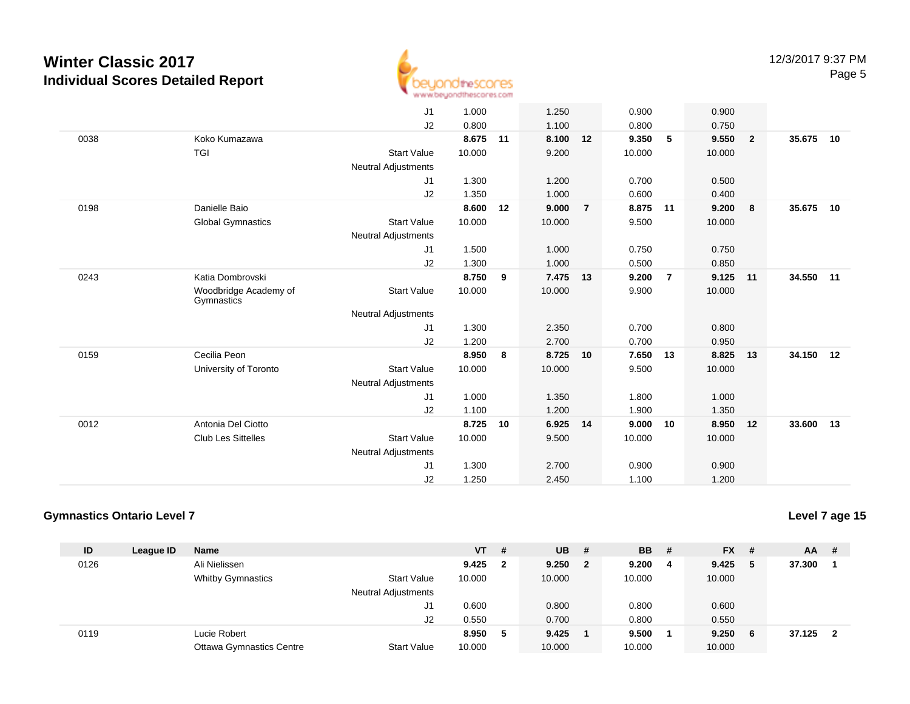

|      |                                     | J1                         | 1.000  |    | 1.250  |                | 0.900  |                | 0.900  |                |        |    |
|------|-------------------------------------|----------------------------|--------|----|--------|----------------|--------|----------------|--------|----------------|--------|----|
|      |                                     | J2                         | 0.800  |    | 1.100  |                | 0.800  |                | 0.750  |                |        |    |
| 0038 | Koko Kumazawa                       |                            | 8.675  | 11 | 8.100  | 12             | 9.350  | 5              | 9.550  | $\overline{2}$ | 35.675 | 10 |
|      | <b>TGI</b>                          | <b>Start Value</b>         | 10.000 |    | 9.200  |                | 10.000 |                | 10.000 |                |        |    |
|      |                                     | <b>Neutral Adjustments</b> |        |    |        |                |        |                |        |                |        |    |
|      |                                     | J1                         | 1.300  |    | 1.200  |                | 0.700  |                | 0.500  |                |        |    |
|      |                                     | J2                         | 1.350  |    | 1.000  |                | 0.600  |                | 0.400  |                |        |    |
| 0198 | Danielle Baio                       |                            | 8.600  | 12 | 9.000  | $\overline{7}$ | 8.875  | 11             | 9.200  | - 8            | 35.675 | 10 |
|      | <b>Global Gymnastics</b>            | <b>Start Value</b>         | 10.000 |    | 10.000 |                | 9.500  |                | 10.000 |                |        |    |
|      |                                     | <b>Neutral Adjustments</b> |        |    |        |                |        |                |        |                |        |    |
|      |                                     | J1                         | 1.500  |    | 1.000  |                | 0.750  |                | 0.750  |                |        |    |
|      |                                     | J2                         | 1.300  |    | 1.000  |                | 0.500  |                | 0.850  |                |        |    |
| 0243 | Katia Dombrovski                    |                            | 8.750  | 9  | 7.475  | 13             | 9.200  | $\overline{7}$ | 9.125  | 11             | 34.550 | 11 |
|      | Woodbridge Academy of<br>Gymnastics | <b>Start Value</b>         | 10.000 |    | 10.000 |                | 9.900  |                | 10.000 |                |        |    |
|      |                                     | <b>Neutral Adjustments</b> |        |    |        |                |        |                |        |                |        |    |
|      |                                     | J1                         | 1.300  |    | 2.350  |                | 0.700  |                | 0.800  |                |        |    |
|      |                                     | J2                         | 1.200  |    | 2.700  |                | 0.700  |                | 0.950  |                |        |    |
| 0159 | Cecilia Peon                        |                            | 8.950  | 8  | 8.725  | 10             | 7.650  | 13             | 8.825  | 13             | 34.150 | 12 |
|      | University of Toronto               | <b>Start Value</b>         | 10.000 |    | 10.000 |                | 9.500  |                | 10.000 |                |        |    |
|      |                                     | <b>Neutral Adjustments</b> |        |    |        |                |        |                |        |                |        |    |
|      |                                     | J1                         | 1.000  |    | 1.350  |                | 1.800  |                | 1.000  |                |        |    |
|      |                                     | J2                         | 1.100  |    | 1.200  |                | 1.900  |                | 1.350  |                |        |    |
| 0012 | Antonia Del Ciotto                  |                            | 8.725  | 10 | 6.925  | 14             | 9.000  | 10             | 8.950  | 12             | 33,600 | 13 |
|      | <b>Club Les Sittelles</b>           | <b>Start Value</b>         | 10.000 |    | 9.500  |                | 10.000 |                | 10.000 |                |        |    |
|      |                                     | <b>Neutral Adjustments</b> |        |    |        |                |        |                |        |                |        |    |
|      |                                     | J1                         | 1.300  |    | 2.700  |                | 0.900  |                | 0.900  |                |        |    |
|      |                                     | J2                         | 1.250  |    | 2.450  |                | 1.100  |                | 1.200  |                |        |    |
|      |                                     |                            |        |    |        |                |        |                |        |                |        |    |

#### **Gymnastics Ontario Level 7**

**Level 7 age 15**

| ID   | League ID | <b>Name</b>                     |                            | $VT$ # |              | <b>UB</b> | - #      | <b>BB</b> | -# | <b>FX</b> | #  | <b>AA</b> | -# |
|------|-----------|---------------------------------|----------------------------|--------|--------------|-----------|----------|-----------|----|-----------|----|-----------|----|
| 0126 |           | Ali Nielissen                   |                            | 9.425  | $\mathbf{2}$ | 9.250     | $\sim$ 2 | 9.200     | -4 | 9.425     | 5  | 37.300    |    |
|      |           | <b>Whitby Gymnastics</b>        | <b>Start Value</b>         | 10.000 |              | 10.000    |          | 10.000    |    | 10.000    |    |           |    |
|      |           |                                 | <b>Neutral Adjustments</b> |        |              |           |          |           |    |           |    |           |    |
|      |           |                                 | J1                         | 0.600  |              | 0.800     |          | 0.800     |    | 0.600     |    |           |    |
|      |           |                                 | J2                         | 0.550  |              | 0.700     |          | 0.800     |    | 0.550     |    |           |    |
| 0119 |           | Lucie Robert                    |                            | 8.950  | 5            | 9.425     |          | 9.500     |    | 9.250     | -6 | 37.125    | 2  |
|      |           | <b>Ottawa Gymnastics Centre</b> | <b>Start Value</b>         | 10.000 |              | 10.000    |          | 10.000    |    | 10.000    |    |           |    |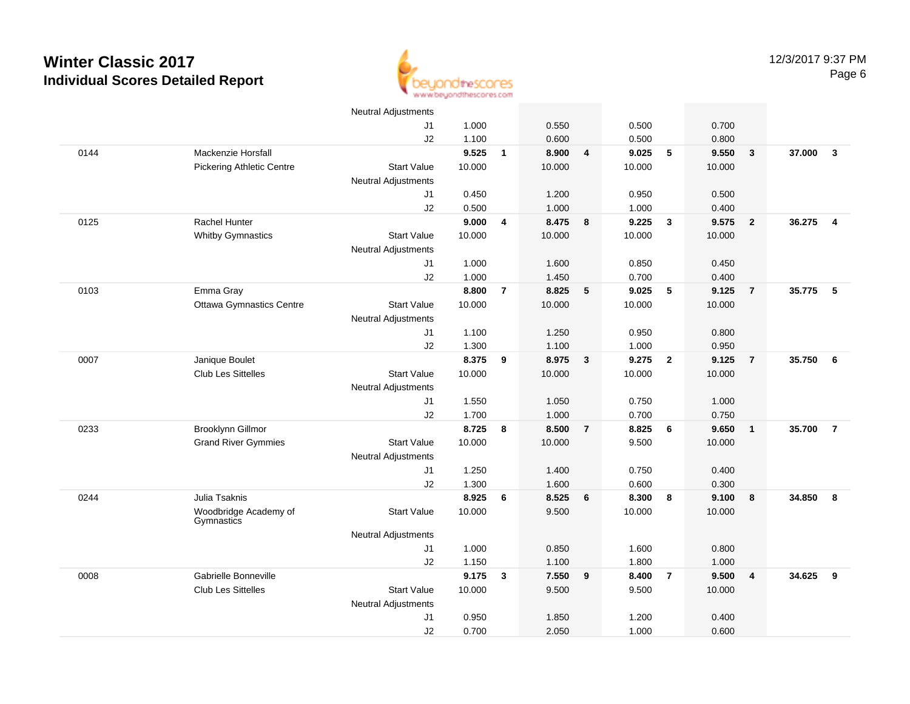

|      |                                  | <b>Neutral Adjustments</b> |        |                         |        |                         |        |                         |        |                         |          |                |
|------|----------------------------------|----------------------------|--------|-------------------------|--------|-------------------------|--------|-------------------------|--------|-------------------------|----------|----------------|
|      |                                  | J <sub>1</sub>             | 1.000  |                         | 0.550  |                         | 0.500  |                         | 0.700  |                         |          |                |
|      |                                  | J2                         | 1.100  |                         | 0.600  |                         | 0.500  |                         | 0.800  |                         |          |                |
| 0144 | Mackenzie Horsfall               |                            | 9.525  | $\mathbf{1}$            | 8.900  | $\overline{4}$          | 9.025  | 5                       | 9.550  | $\mathbf{3}$            | 37.000   | $\mathbf{3}$   |
|      | <b>Pickering Athletic Centre</b> | <b>Start Value</b>         | 10.000 |                         | 10.000 |                         | 10.000 |                         | 10.000 |                         |          |                |
|      |                                  | <b>Neutral Adjustments</b> |        |                         |        |                         |        |                         |        |                         |          |                |
|      |                                  | J1                         | 0.450  |                         | 1.200  |                         | 0.950  |                         | 0.500  |                         |          |                |
|      |                                  | J2                         | 0.500  |                         | 1.000  |                         | 1.000  |                         | 0.400  |                         |          |                |
| 0125 | Rachel Hunter                    |                            | 9.000  | $\overline{\mathbf{4}}$ | 8.475  | $\boldsymbol{8}$        | 9.225  | $\overline{\mathbf{3}}$ | 9.575  | $\overline{2}$          | 36.275 4 |                |
|      | <b>Whitby Gymnastics</b>         | <b>Start Value</b>         | 10.000 |                         | 10.000 |                         | 10.000 |                         | 10.000 |                         |          |                |
|      |                                  | <b>Neutral Adjustments</b> |        |                         |        |                         |        |                         |        |                         |          |                |
|      |                                  | J1                         | 1.000  |                         | 1.600  |                         | 0.850  |                         | 0.450  |                         |          |                |
|      |                                  | J2                         | 1.000  |                         | 1.450  |                         | 0.700  |                         | 0.400  |                         |          |                |
| 0103 | Emma Gray                        |                            | 8.800  | $\overline{7}$          | 8.825  | 5                       | 9.025  | 5                       | 9.125  | $\overline{7}$          | 35.775   | 5              |
|      | Ottawa Gymnastics Centre         | <b>Start Value</b>         | 10.000 |                         | 10.000 |                         | 10.000 |                         | 10.000 |                         |          |                |
|      |                                  | <b>Neutral Adjustments</b> |        |                         |        |                         |        |                         |        |                         |          |                |
|      |                                  | J1                         | 1.100  |                         | 1.250  |                         | 0.950  |                         | 0.800  |                         |          |                |
|      |                                  | J2                         | 1.300  |                         | 1.100  |                         | 1.000  |                         | 0.950  |                         |          |                |
| 0007 | Janique Boulet                   |                            | 8.375  | 9                       | 8.975  | $\overline{\mathbf{3}}$ | 9.275  | $\overline{\mathbf{2}}$ | 9.125  | $\overline{7}$          | 35.750   | 6              |
|      | Club Les Sittelles               | <b>Start Value</b>         | 10.000 |                         | 10.000 |                         | 10.000 |                         | 10.000 |                         |          |                |
|      |                                  | <b>Neutral Adjustments</b> |        |                         |        |                         |        |                         |        |                         |          |                |
|      |                                  | J1                         | 1.550  |                         | 1.050  |                         | 0.750  |                         | 1.000  |                         |          |                |
|      |                                  | J2                         | 1.700  |                         | 1.000  |                         | 0.700  |                         | 0.750  |                         |          |                |
| 0233 | Brooklynn Gillmor                |                            | 8.725  | 8                       | 8.500  | $\overline{7}$          | 8.825  | 6                       | 9.650  | $\mathbf{1}$            | 35.700   | $\overline{7}$ |
|      | <b>Grand River Gymmies</b>       | <b>Start Value</b>         | 10.000 |                         | 10.000 |                         | 9.500  |                         | 10.000 |                         |          |                |
|      |                                  | <b>Neutral Adjustments</b> |        |                         |        |                         |        |                         |        |                         |          |                |
|      |                                  | J1                         | 1.250  |                         | 1.400  |                         | 0.750  |                         | 0.400  |                         |          |                |
|      |                                  | J2                         | 1.300  |                         | 1.600  |                         | 0.600  |                         | 0.300  |                         |          |                |
| 0244 | Julia Tsaknis                    |                            | 8.925  | 6                       | 8.525  | 6                       | 8.300  | $\bf{8}$                | 9.100  | 8                       | 34.850   | 8              |
|      | Woodbridge Academy of            | <b>Start Value</b>         | 10.000 |                         | 9.500  |                         | 10.000 |                         | 10.000 |                         |          |                |
|      | Gymnastics                       |                            |        |                         |        |                         |        |                         |        |                         |          |                |
|      |                                  | <b>Neutral Adjustments</b> |        |                         |        |                         |        |                         |        |                         |          |                |
|      |                                  | J1                         | 1.000  |                         | 0.850  |                         | 1.600  |                         | 0.800  |                         |          |                |
|      |                                  | J2                         | 1.150  |                         | 1.100  |                         | 1.800  |                         | 1.000  |                         |          |                |
| 0008 | Gabrielle Bonneville             |                            | 9.175  | 3                       | 7.550  | 9                       | 8.400  | $\overline{7}$          | 9.500  | $\overline{\mathbf{4}}$ | 34.625   | 9              |
|      | Club Les Sittelles               | <b>Start Value</b>         | 10.000 |                         | 9.500  |                         | 9.500  |                         | 10.000 |                         |          |                |
|      |                                  | <b>Neutral Adjustments</b> |        |                         |        |                         |        |                         |        |                         |          |                |
|      |                                  | J <sub>1</sub>             | 0.950  |                         | 1.850  |                         | 1.200  |                         | 0.400  |                         |          |                |
|      |                                  | J2                         | 0.700  |                         | 2.050  |                         | 1.000  |                         | 0.600  |                         |          |                |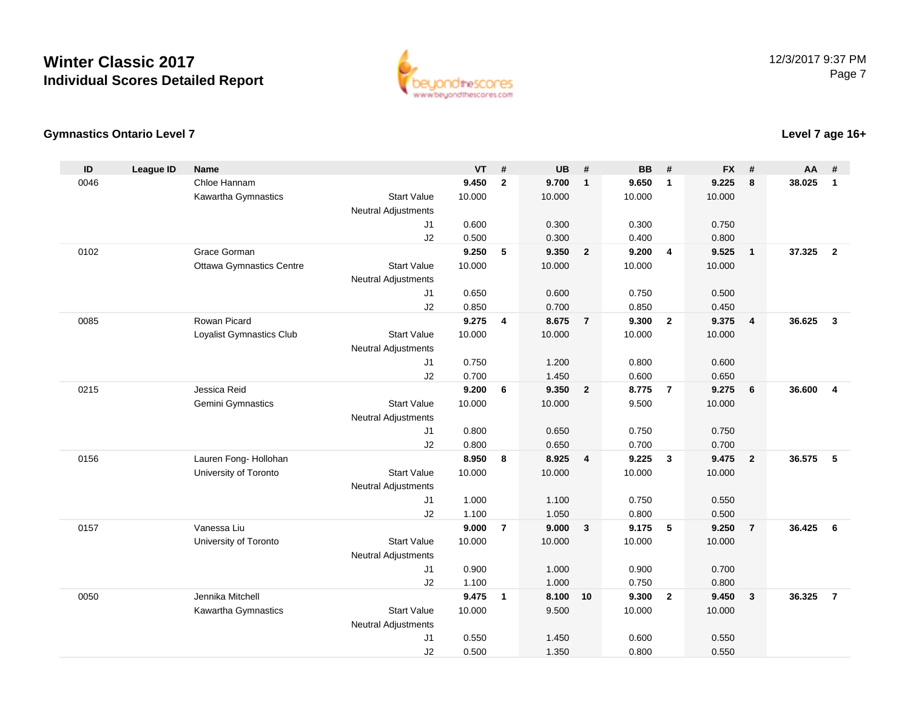

#### **Gymnastics Ontario Level 7**

| ID   | <b>League ID</b> | <b>Name</b>                     |                                              | <b>VT</b>      | #              | <b>UB</b>      | #                       | <b>BB</b>      | #                       | <b>FX</b>      | #              | AA     | #                       |
|------|------------------|---------------------------------|----------------------------------------------|----------------|----------------|----------------|-------------------------|----------------|-------------------------|----------------|----------------|--------|-------------------------|
| 0046 |                  | Chloe Hannam                    |                                              | 9.450          | $\overline{2}$ | 9.700          | $\mathbf{1}$            | 9.650          | $\mathbf{1}$            | 9.225          | 8              | 38.025 | $\mathbf{1}$            |
|      |                  | Kawartha Gymnastics             | <b>Start Value</b>                           | 10.000         |                | 10.000         |                         | 10.000         |                         | 10.000         |                |        |                         |
|      |                  |                                 | <b>Neutral Adjustments</b>                   |                |                |                |                         |                |                         |                |                |        |                         |
|      |                  |                                 | J <sub>1</sub>                               | 0.600          |                | 0.300          |                         | 0.300          |                         | 0.750          |                |        |                         |
|      |                  |                                 | J2                                           | 0.500          |                | 0.300          |                         | 0.400          |                         | 0.800          |                |        |                         |
| 0102 |                  | Grace Gorman                    |                                              | 9.250          | 5              | 9.350          | $\overline{\mathbf{2}}$ | 9.200          | $\overline{4}$          | 9.525          | $\mathbf{1}$   | 37.325 | $\overline{2}$          |
|      |                  | <b>Ottawa Gymnastics Centre</b> | <b>Start Value</b>                           | 10.000         |                | 10.000         |                         | 10.000         |                         | 10.000         |                |        |                         |
|      |                  |                                 | <b>Neutral Adjustments</b>                   |                |                |                |                         |                |                         |                |                |        |                         |
|      |                  |                                 | J1                                           | 0.650          |                | 0.600          |                         | 0.750          |                         | 0.500          |                |        |                         |
|      |                  |                                 | J2                                           | 0.850          |                | 0.700          |                         | 0.850          |                         | 0.450          |                |        |                         |
| 0085 |                  | Rowan Picard                    |                                              | 9.275          | 4              | 8.675          | $\overline{7}$          | 9.300          | $\overline{2}$          | 9.375          | $\overline{4}$ | 36.625 | $\mathbf{3}$            |
|      |                  | Loyalist Gymnastics Club        | <b>Start Value</b>                           | 10.000         |                | 10.000         |                         | 10.000         |                         | 10.000         |                |        |                         |
|      |                  |                                 | <b>Neutral Adjustments</b>                   |                |                |                |                         |                |                         |                |                |        |                         |
|      |                  |                                 | J1                                           | 0.750          |                | 1.200          |                         | 0.800          |                         | 0.600          |                |        |                         |
|      |                  |                                 | J2                                           | 0.700          |                | 1.450          |                         | 0.600          |                         | 0.650          |                |        |                         |
| 0215 |                  | Jessica Reid                    |                                              | 9.200          | 6              | 9.350          | $\overline{2}$          | 8.775          | $\overline{7}$          | 9.275          | 6              | 36.600 | $\overline{\mathbf{4}}$ |
|      |                  | Gemini Gymnastics               | <b>Start Value</b>                           | 10.000         |                | 10.000         |                         | 9.500          |                         | 10.000         |                |        |                         |
|      |                  |                                 | <b>Neutral Adjustments</b>                   |                |                |                |                         |                |                         |                |                |        |                         |
|      |                  |                                 | J <sub>1</sub>                               | 0.800          |                | 0.650          |                         | 0.750          |                         | 0.750          |                |        |                         |
|      |                  |                                 | J2                                           | 0.800          |                | 0.650          |                         | 0.700          |                         | 0.700          |                |        |                         |
| 0156 |                  | Lauren Fong- Hollohan           |                                              | 8.950          | 8              | 8.925          | $\overline{\mathbf{4}}$ | 9.225          | $\overline{\mathbf{3}}$ | 9.475          | $\overline{2}$ | 36.575 | 5                       |
|      |                  | University of Toronto           | <b>Start Value</b>                           | 10.000         |                | 10.000         |                         | 10.000         |                         | 10.000         |                |        |                         |
|      |                  |                                 | <b>Neutral Adjustments</b>                   |                |                |                |                         |                |                         |                |                |        |                         |
|      |                  |                                 | J1                                           | 1.000          |                | 1.100          |                         | 0.750          |                         | 0.550          |                |        |                         |
|      |                  |                                 | J2                                           | 1.100          |                | 1.050          |                         | 0.800          |                         | 0.500          |                |        |                         |
| 0157 |                  | Vanessa Liu                     |                                              | 9.000          | $\overline{7}$ | 9.000          | $\overline{\mathbf{3}}$ | 9.175          | 5                       | 9.250          | $\overline{7}$ | 36.425 | 6                       |
|      |                  | University of Toronto           | <b>Start Value</b>                           | 10.000         |                | 10.000         |                         | 10.000         |                         | 10.000         |                |        |                         |
|      |                  |                                 | <b>Neutral Adjustments</b>                   |                |                |                |                         |                |                         | 0.700          |                |        |                         |
|      |                  |                                 | J1                                           | 0.900          |                | 1.000          |                         | 0.900          |                         |                |                |        |                         |
| 0050 |                  | Jennika Mitchell                | J2                                           | 1.100<br>9.475 | $\mathbf{1}$   | 1.000<br>8.100 | 10                      | 0.750<br>9.300 | $\overline{\mathbf{2}}$ | 0.800<br>9.450 |                | 36.325 | $\overline{7}$          |
|      |                  |                                 | <b>Start Value</b>                           |                |                |                |                         |                |                         |                | 3              |        |                         |
|      |                  | Kawartha Gymnastics             |                                              | 10.000         |                | 9.500          |                         | 10.000         |                         | 10.000         |                |        |                         |
|      |                  |                                 | <b>Neutral Adjustments</b><br>J <sub>1</sub> | 0.550          |                | 1.450          |                         | 0.600          |                         | 0.550          |                |        |                         |
|      |                  |                                 | J2                                           | 0.500          |                | 1.350          |                         | 0.800          |                         | 0.550          |                |        |                         |
|      |                  |                                 |                                              |                |                |                |                         |                |                         |                |                |        |                         |

#### **Level 7 age 16+**